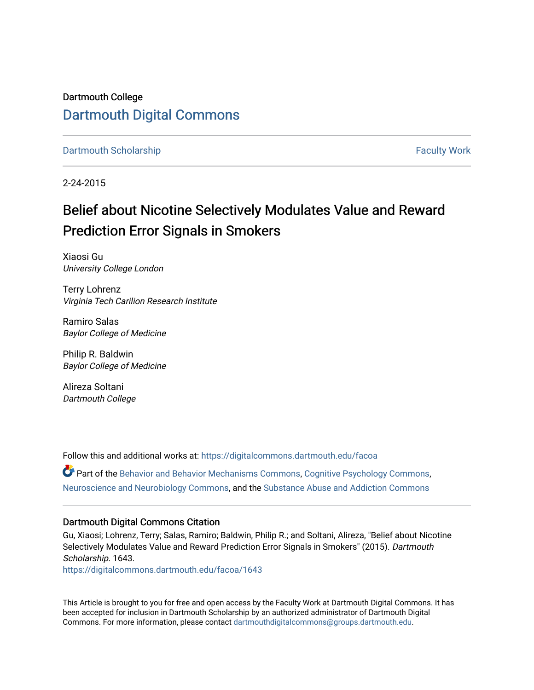Dartmouth College [Dartmouth Digital Commons](https://digitalcommons.dartmouth.edu/) 

[Dartmouth Scholarship](https://digitalcommons.dartmouth.edu/facoa) [Faculty Work](https://digitalcommons.dartmouth.edu/faculty) and The Basic Scholarship Faculty Work Faculty Work

2-24-2015

## Belief about Nicotine Selectively Modulates Value and Reward Prediction Error Signals in Smokers

Xiaosi Gu University College London

Terry Lohrenz Virginia Tech Carilion Research Institute

Ramiro Salas Baylor College of Medicine

Philip R. Baldwin Baylor College of Medicine

Alireza Soltani Dartmouth College

Follow this and additional works at: [https://digitalcommons.dartmouth.edu/facoa](https://digitalcommons.dartmouth.edu/facoa?utm_source=digitalcommons.dartmouth.edu%2Ffacoa%2F1643&utm_medium=PDF&utm_campaign=PDFCoverPages) Part of the [Behavior and Behavior Mechanisms Commons,](http://network.bepress.com/hgg/discipline/963?utm_source=digitalcommons.dartmouth.edu%2Ffacoa%2F1643&utm_medium=PDF&utm_campaign=PDFCoverPages) [Cognitive Psychology Commons,](http://network.bepress.com/hgg/discipline/408?utm_source=digitalcommons.dartmouth.edu%2Ffacoa%2F1643&utm_medium=PDF&utm_campaign=PDFCoverPages) [Neuroscience and Neurobiology Commons](http://network.bepress.com/hgg/discipline/55?utm_source=digitalcommons.dartmouth.edu%2Ffacoa%2F1643&utm_medium=PDF&utm_campaign=PDFCoverPages), and the [Substance Abuse and Addiction Commons](http://network.bepress.com/hgg/discipline/710?utm_source=digitalcommons.dartmouth.edu%2Ffacoa%2F1643&utm_medium=PDF&utm_campaign=PDFCoverPages)

### Dartmouth Digital Commons Citation

Gu, Xiaosi; Lohrenz, Terry; Salas, Ramiro; Baldwin, Philip R.; and Soltani, Alireza, "Belief about Nicotine Selectively Modulates Value and Reward Prediction Error Signals in Smokers" (2015). Dartmouth Scholarship. 1643.

[https://digitalcommons.dartmouth.edu/facoa/1643](https://digitalcommons.dartmouth.edu/facoa/1643?utm_source=digitalcommons.dartmouth.edu%2Ffacoa%2F1643&utm_medium=PDF&utm_campaign=PDFCoverPages) 

This Article is brought to you for free and open access by the Faculty Work at Dartmouth Digital Commons. It has been accepted for inclusion in Dartmouth Scholarship by an authorized administrator of Dartmouth Digital Commons. For more information, please contact [dartmouthdigitalcommons@groups.dartmouth.edu](mailto:dartmouthdigitalcommons@groups.dartmouth.edu).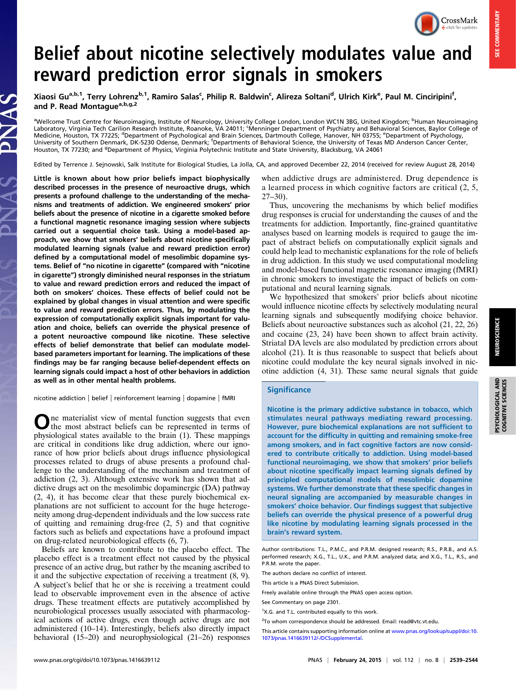**SEE COMMENTARY** SEE COMMENTARY

# Belief about nicotine selectively modulates value and reward prediction error signals in smokers

Xiaosi Gu<sup>a,b,1</sup>, Terry Lohrenz<sup>b,1</sup>, Ramiro Salas<sup>c</sup>, Philip R. Baldwin<sup>c</sup>, Alireza Soltani<sup>d</sup>, Ulrich Kirk<sup>e</sup>, Paul M. Cinciripini<sup>f</sup>, and P. Read Montague<sup>a,b,g,2</sup>

<sup>a</sup>Wellcome Trust Centre for Neuroimaging, Institute of Neurology, University College London, London WC1N 3BG, United Kingdom; <sup>b</sup>Human Neuroimaging Laboratory, Virginia Tech Carilion Research Institute, Roanoke, VA 24011; 'Menninger Department of Psychiatry and Behavioral Sciences, Baylor College of Medicine, Houston, TX 77225; <sup>d</sup>Department of Psychological and Brain Sciences, Dartmouth College, Hanover, NH 03755; <sup>e</sup>Department of Psychology,<br>University of Southern Denmark, DK-5230 Odense, Denmark; <sup>f</sup>Departments of Houston, TX 77230; and <sup>g</sup>Department of Physics, Virginia Polytechnic Institute and State University, Blacksburg, VA 24061

Edited by Terrence J. Sejnowski, Salk Institute for Biological Studies, La Jolla, CA, and approved December 22, 2014 (received for review August 28, 2014)

Little is known about how prior beliefs impact biophysically described processes in the presence of neuroactive drugs, which presents a profound challenge to the understanding of the mechanisms and treatments of addiction. We engineered smokers' prior beliefs about the presence of nicotine in a cigarette smoked before a functional magnetic resonance imaging session where subjects carried out a sequential choice task. Using a model-based approach, we show that smokers' beliefs about nicotine specifically modulated learning signals (value and reward prediction error) defined by a computational model of mesolimbic dopamine systems. Belief of "no nicotine in cigarette" (compared with "nicotine in cigarette") strongly diminished neural responses in the striatum to value and reward prediction errors and reduced the impact of both on smokers' choices. These effects of belief could not be explained by global changes in visual attention and were specific to value and reward prediction errors. Thus, by modulating the expression of computationally explicit signals important for valuation and choice, beliefs can override the physical presence of a potent neuroactive compound like nicotine. These selective effects of belief demonstrate that belief can modulate modelbased parameters important for learning. The implications of these findings may be far ranging because belief-dependent effects on learning signals could impact a host of other behaviors in addiction as well as in other mental health problems.

nicotine addiction | belief | reinforcement learning | dopamine | fMRI

One materialist view of mental function suggests that even<br>the most abstract beliefs can be represented in terms of physiological states available to the brain (1). These mappings are critical in conditions like drug addiction, where our ignorance of how prior beliefs about drugs influence physiological processes related to drugs of abuse presents a profound challenge to the understanding of the mechanism and treatment of addiction (2, 3). Although extensive work has shown that addictive drugs act on the mesolimbic dopaminergic (DA) pathway (2, 4), it has become clear that these purely biochemical explanations are not sufficient to account for the huge heterogeneity among drug-dependent individuals and the low success rate of quitting and remaining drug-free (2, 5) and that cognitive factors such as beliefs and expectations have a profound impact on drug-related neurobiological effects (6, 7).

Beliefs are known to contribute to the placebo effect. The placebo effect is a treatment effect not caused by the physical presence of an active drug, but rather by the meaning ascribed to it and the subjective expectation of receiving a treatment (8, 9). A subject's belief that he or she is receiving a treatment could lead to observable improvement even in the absence of active drugs. These treatment effects are putatively accomplished by neurobiological processes usually associated with pharmacological actions of active drugs, even though active drugs are not administered (10–14). Interestingly, beliefs also directly impact behavioral (15–20) and neurophysiological (21–26) responses when addictive drugs are administered. Drug dependence is a learned process in which cognitive factors are critical (2, 5, 27–30).

Thus, uncovering the mechanisms by which belief modifies drug responses is crucial for understanding the causes of and the treatments for addiction. Importantly, fine-grained quantitative analyses based on learning models is required to gauge the impact of abstract beliefs on computationally explicit signals and could help lead to mechanistic explanations for the role of beliefs in drug addiction. In this study we used computational modeling and model-based functional magnetic resonance imaging (fMRI) in chronic smokers to investigate the impact of beliefs on computational and neural learning signals.

We hypothesized that smokers' prior beliefs about nicotine would influence nicotine effects by selectively modulating neural learning signals and subsequently modifying choice behavior. Beliefs about neuroactive substances such as alcohol (21, 22, 26) and cocaine (23, 24) have been shown to affect brain activity. Striatal DA levels are also modulated by prediction errors about alcohol (21). It is thus reasonable to suspect that beliefs about nicotine could modulate the key neural signals involved in nicotine addiction (4, 31). These same neural signals that guide

#### **Significance**

Nicotine is the primary addictive substance in tobacco, which stimulates neural pathways mediating reward processing. However, pure biochemical explanations are not sufficient to account for the difficulty in quitting and remaining smoke-free among smokers, and in fact cognitive factors are now considered to contribute critically to addiction. Using model-based functional neuroimaging, we show that smokers' prior beliefs about nicotine specifically impact learning signals defined by principled computational models of mesolimbic dopamine systems. We further demonstrate that these specific changes in neural signaling are accompanied by measurable changes in smokers' choice behavior. Our findings suggest that subjective beliefs can override the physical presence of a powerful drug like nicotine by modulating learning signals processed in the brain's reward system.

The authors declare no conflict of interest.

Freely available online through the PNAS open access option.

Author contributions: T.L., P.M.C., and P.R.M. designed research; R.S., P.R.B., and A.S. performed research; X.G., T.L., U.K., and P.R.M. analyzed data; and X.G., T.L., R.S., and P.R.M. wrote the paper.

This article is a PNAS Direct Submission.

See Commentary on page 2301.

<sup>&</sup>lt;sup>1</sup>X.G. and T.L. contributed equally to this work.

<sup>&</sup>lt;sup>2</sup>To whom correspondence should be addressed. Email: [read@vtc.vt.edu](mailto:read@vtc.vt.edu).

This article contains supporting information online at [www.pnas.org/lookup/suppl/doi:10.](http://www.pnas.org/lookup/suppl/doi:10.1073/pnas.1416639112/-/DCSupplemental) [1073/pnas.1416639112/-/DCSupplemental](http://www.pnas.org/lookup/suppl/doi:10.1073/pnas.1416639112/-/DCSupplemental).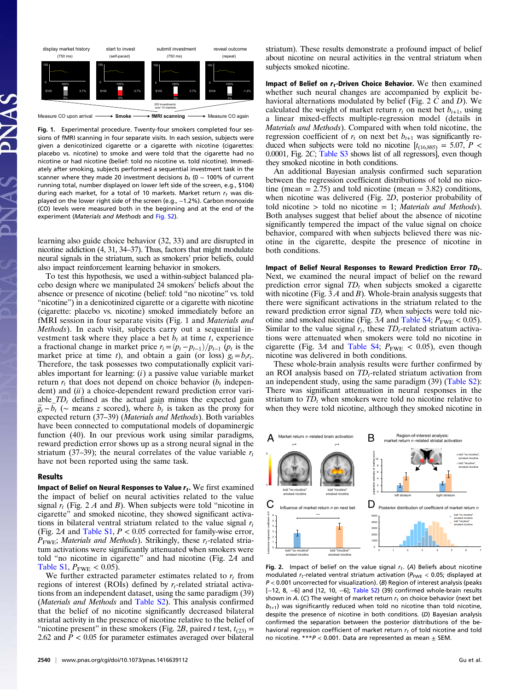

Fig. 1. Experimental procedure. Twenty-four smokers completed four sessions of fMRI scanning in four separate visits. In each session, subjects were given a denicotinized cigarette or a cigarette with nicotine (cigarettes: placebo vs. nicotine) to smoke and were told that the cigarette had no nicotine or had nicotine (belief: told no nicotine vs. told nicotine). Immediately after smoking, subjects performed a sequential investment task in the scanner where they made 20 investment decisions  $b_t$  (0 ~ 100% of current running total, number displayed on lower left side of the screen, e.g., \$104) during each market, for a total of 10 markets. Market return  $r_t$  was displayed on the lower right side of the screen (e.g., -1.2%). Carbon monoxide (CO) levels were measured both in the beginning and at the end of the experiment (Materials and Methods and [Fig. S2\)](http://www.pnas.org/lookup/suppl/doi:10.1073/pnas.1416639112/-/DCSupplemental/pnas.201416639SI.pdf?targetid=nameddest=SF2).

learning also guide choice behavior (32, 33) and are disrupted in nicotine addiction (4, 31, 34–37). Thus, factors that might modulate neural signals in the striatum, such as smokers' prior beliefs, could also impact reinforcement learning behavior in smokers.

To test this hypothesis, we used a within-subject balanced placebo design where we manipulated 24 smokers' beliefs about the absence or presence of nicotine (belief: told "no nicotine" vs. told "nicotine") in a denicotinized cigarette or a cigarette with nicotine (cigarette: placebo vs. nicotine) smoked immediately before an fMRI session in four separate visits (Fig. 1 and Materials and Methods). In each visit, subjects carry out a sequential investment task where they place a bet  $b_t$  at time t, experience a fractional change in market price  $r_t = (p_t - p_{t-1})/p_{t-1}$  ( $p_t$  is the market price at time t), and obtain a gain (or loss)  $g_t = b_t r_t$ . Therefore, the task possesses two computationally explicit variables important for learning:  $(i)$  a passive value variable market return  $r_t$  that does not depend on choice behavior  $(b_t)$  independent) and  $(ii)$  a choice-dependent reward prediction error variable  $TD_t$  defined as the actual gain minus the expected gain  $\tilde{g}_t - b_t$  (~ means z scored), where  $b_t$  is taken as the proxy for expected return (37–39) (Materials and Methods). Both variables have been connected to computational models of dopaminergic function (40). In our previous work using similar paradigms, reward prediction error shows up as a strong neural signal in the striatum (37–39); the neural correlates of the value variable  $r_t$ have not been reported using the same task.

#### Results

Impact of Belief on Neural Responses to Value  $r_t$ . We first examined the impact of belief on neural activities related to the value signal  $r_t$  (Fig. 2 A and B). When subjects were told "nicotine in cigarette" and smoked nicotine, they showed significant activations in bilateral ventral striatum related to the value signal  $r_t$ (Fig. 24 and [Table S1,](http://www.pnas.org/lookup/suppl/doi:10.1073/pnas.1416639112/-/DCSupplemental/pnas.201416639SI.pdf?targetid=nameddest=ST1)  $P < 0.05$  corrected for family-wise error,  $P_{\text{FWE}}$ ; Materials and Methods). Strikingly, these  $r_t$ -related striatum activations were significantly attenuated when smokers were told "no nicotine in cigarette" and had nicotine (Fig. 2A and [Table S1,](http://www.pnas.org/lookup/suppl/doi:10.1073/pnas.1416639112/-/DCSupplemental/pnas.201416639SI.pdf?targetid=nameddest=ST1)  $P_{\text{FWE}} < 0.05$ ).

We further extracted parameter estimates related to  $r_t$  from regions of interest (ROIs) defined by  $r_t$ -related striatal activations from an independent dataset, using the same paradigm (39) (Materials and Methods and [Table S2\)](http://www.pnas.org/lookup/suppl/doi:10.1073/pnas.1416639112/-/DCSupplemental/pnas.201416639SI.pdf?targetid=nameddest=ST2). This analysis confirmed that the belief of no nicotine significantly decreased bilateral striatal activity in the presence of nicotine relative to the belief of "nicotine present" in these smokers (Fig. 2B, paired t test,  $t_{(23)} =$ 2.62 and  $P < 0.05$  for parameter estimates averaged over bilateral striatum). These results demonstrate a profound impact of belief about nicotine on neural activities in the ventral striatum when subjects smoked nicotine.

Impact of Belief on  $r_t$ -Driven Choice Behavior. We then examined whether such neural changes are accompanied by explicit behavioral alternations modulated by belief (Fig.  $2 C$  and  $D$ ). We calculated the weight of market return  $r_t$  on next bet  $b_{t+1}$ , using a linear mixed-effects multiple-regression model (details in Materials and Methods). Compared with when told nicotine, the regression coefficient of  $r_t$  on next bet  $b_{t+1}$  was significantly reduced when subjects were told no nicotine  $[t_{(16,885)} = 5.07, P <$ 0.0001, Fig. 2C; [Table S3](http://www.pnas.org/lookup/suppl/doi:10.1073/pnas.1416639112/-/DCSupplemental/pnas.201416639SI.pdf?targetid=nameddest=ST3) shows list of all regressors], even though they smoked nicotine in both conditions.

An additional Bayesian analysis confirmed such separation between the regression coefficient distributions of told no nicotine (mean  $= 2.75$ ) and told nicotine (mean  $= 3.82$ ) conditions, when nicotine was delivered (Fig. 2D, posterior probability of told nicotine  $>$  told no nicotine  $=$  1; Materials and Methods). Both analyses suggest that belief about the absence of nicotine significantly tempered the impact of the value signal on choice behavior, compared with when subjects believed there was nicotine in the cigarette, despite the presence of nicotine in both conditions.

Impact of Belief Neural Responses to Reward Prediction Error  $TD_t$ . Next, we examined the neural impact of belief on the reward prediction error signal  $TD_t$  when subjects smoked a cigarette with nicotine (Fig.  $3A$  and B). Whole-brain analysis suggests that there were significant activations in the striatum related to the reward prediction error signal  $TD_t$  when subjects were told nic-otine and smoked nicotine (Fig. 3A and [Table S4](http://www.pnas.org/lookup/suppl/doi:10.1073/pnas.1416639112/-/DCSupplemental/pnas.201416639SI.pdf?targetid=nameddest=ST4);  $P_{\text{FWE}}$  < 0.05). Similar to the value signal  $r_t$ , these  $TD_t$ -related striatum activations were attenuated when smokers were told no nicotine in cigarette (Fig. 3A and [Table S4;](http://www.pnas.org/lookup/suppl/doi:10.1073/pnas.1416639112/-/DCSupplemental/pnas.201416639SI.pdf?targetid=nameddest=ST4)  $P_{\text{FWE}}$  < 0.05), even though nicotine was delivered in both conditions.

These whole-brain analysis results were further confirmed by an ROI analysis based on  $TD_t$ -related striatum activation from an independent study, using the same paradigm (39) [\(Table S2\)](http://www.pnas.org/lookup/suppl/doi:10.1073/pnas.1416639112/-/DCSupplemental/pnas.201416639SI.pdf?targetid=nameddest=ST2): There was significant attenuation in neural responses in the striatum to  $TD_t$  when smokers were told no nicotine relative to when they were told nicotine, although they smoked nicotine in



Fig. 2. Impact of belief on the value signal  $r_t$ . (A) Beliefs about nicotine modulated  $r_t$ -related ventral striatum activation ( $P_{\text{FWE}}$  < 0.05; displayed at  $P < 0.001$  uncorrected for visualization). (B) Region of interest analysis (peaks [-12, 8, -6] and [12, 10, -6]; [Table S2](http://www.pnas.org/lookup/suppl/doi:10.1073/pnas.1416639112/-/DCSupplemental/pnas.201416639SI.pdf?targetid=nameddest=ST2)) (39) confirmed whole-brain results shown in A. (C) The weight of market return  $r_t$  on choice behavior (next bet  $b$ <sub>t+1</sub>) was significantly reduced when told no nicotine than told nicotine, despite the presence of nicotine in both conditions. (D) Bayesian analysis confirmed the separation between the posterior distributions of the behavioral regression coefficient of market return  $r_t$  of told nicotine and told no nicotine. \*\*\* $P < 0.001$ . Data are represented as mean  $\pm$  SEM.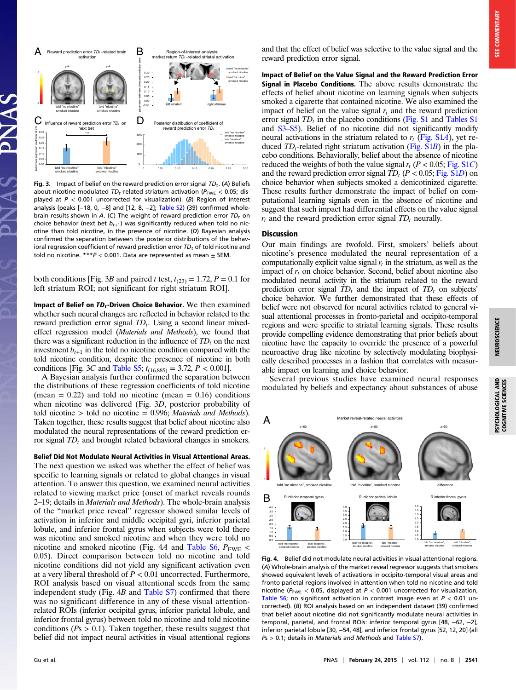

Fig. 3. Impact of belief on the reward prediction error signal  $TD_t$ . (A) Beliefs about nicotine modulated  $TD_t$ -related striatum activation ( $P_{FWE}$  < 0.05; displayed at  $P < 0.001$  uncorrected for visualization). (B) Region of interest analysis (peaks [−18, 0, −8] and [12, 8, −2]; [Table S2](http://www.pnas.org/lookup/suppl/doi:10.1073/pnas.1416639112/-/DCSupplemental/pnas.201416639SI.pdf?targetid=nameddest=ST2)) (39) confirmed wholebrain results shown in A. (C) The weight of reward prediction error  $TD_t$  on choice behavior (next bet  $b_{t+1}$ ) was significantly reduced when told no nicotine than told nicotine, in the presence of nicotine. (D) Bayesian analysis confirmed the separation between the posterior distributions of the behavioral regression coefficient of reward prediction error  $TD_t$  of told nicotine and told no nicotine. \*\*\* $P < 0.001$ . Data are represented as mean  $\pm$  SEM.

both conditions [Fig. 3B and paired t test,  $t_{(23)} = 1.72$ ,  $P = 0.1$  for left striatum ROI; not significant for right striatum ROI].

Impact of Belief on  $ID_t$ -Driven Choice Behavior. We then examined whether such neural changes are reflected in behavior related to the reward prediction error signal  $TD_t$ . Using a second linear mixedeffect regression model (Materials and Methods), we found that there was a significant reduction in the influence of  $TD<sub>t</sub>$  on the next investment  $b_{t+1}$  in the told no nicotine condition compared with the told nicotine condition, despite the presence of nicotine in both conditions [Fig. 3C and [Table S5](http://www.pnas.org/lookup/suppl/doi:10.1073/pnas.1416639112/-/DCSupplemental/pnas.201416639SI.pdf?targetid=nameddest=ST5);  $t_{(16,885)} = 3.72$ ,  $P < 0.001$ ].

A Bayesian analysis further confirmed the separation between the distributions of these regression coefficients of told nicotine (mean  $= 0.22$ ) and told no nicotine (mean  $= 0.16$ ) conditions when nicotine was delivered (Fig. 3D, posterior probability of told nicotine  $>$  told no nicotine = 0.996; Materials and Methods). Taken together, these results suggest that belief about nicotine also modulated the neural representations of the reward prediction error signal  $TD_t$  and brought related behavioral changes in smokers.

Belief Did Not Modulate Neural Activities in Visual Attentional Areas. The next question we asked was whether the effect of belief was specific to learning signals or related to global changes in visual attention. To answer this question, we examined neural activities related to viewing market price (onset of market reveals rounds 2–19; details in Materials and Methods). The whole-brain analysis of the "market price reveal" regressor showed similar levels of activation in inferior and middle occipital gyri, inferior parietal lobule, and inferior frontal gyrus when subjects were told there was nicotine and smoked nicotine and when they were told no nicotine and smoked nicotine (Fig. 4A and [Table S6,](http://www.pnas.org/lookup/suppl/doi:10.1073/pnas.1416639112/-/DCSupplemental/pnas.201416639SI.pdf?targetid=nameddest=ST6)  $P_{\text{FWE}}$  < 0.05). Direct comparison between told no nicotine and told nicotine conditions did not yield any significant activation even at a very liberal threshold of  $P < 0.01$  uncorrected. Furthermore, ROI analysis based on visual attentional seeds from the same independent study (Fig.  $4B$  and [Table S7](http://www.pnas.org/lookup/suppl/doi:10.1073/pnas.1416639112/-/DCSupplemental/pnas.201416639SI.pdf?targetid=nameddest=ST7)) confirmed that there was no significant difference in any of these visual attentionrelated ROIs (inferior occipital gyrus, inferior parietal lobule, and inferior frontal gyrus) between told no nicotine and told nicotine conditions ( $Ps > 0.1$ ). Taken together, these results suggest that belief did not impact neural activities in visual attentional regions

and that the effect of belief was selective to the value signal and the reward prediction error signal.

Impact of Belief on the Value Signal and the Reward Prediction Error Signal in Placebo Conditions. The above results demonstrate the effects of belief about nicotine on learning signals when subjects smoked a cigarette that contained nicotine. We also examined the impact of belief on the value signal  $r_t$  and the reward prediction error signal  $TD_t$  in the placebo conditions [\(Fig. S1](http://www.pnas.org/lookup/suppl/doi:10.1073/pnas.1416639112/-/DCSupplemental/pnas.201416639SI.pdf?targetid=nameddest=SF1) and [Tables S1](http://www.pnas.org/lookup/suppl/doi:10.1073/pnas.1416639112/-/DCSupplemental/pnas.201416639SI.pdf?targetid=nameddest=ST1) and [S3](http://www.pnas.org/lookup/suppl/doi:10.1073/pnas.1416639112/-/DCSupplemental/pnas.201416639SI.pdf?targetid=nameddest=ST3)–[S5\)](http://www.pnas.org/lookup/suppl/doi:10.1073/pnas.1416639112/-/DCSupplemental/pnas.201416639SI.pdf?targetid=nameddest=ST5). Belief of no nicotine did not significantly modify neural activations in the striatum related to  $r_t$  ([Fig. S1](http://www.pnas.org/lookup/suppl/doi:10.1073/pnas.1416639112/-/DCSupplemental/pnas.201416639SI.pdf?targetid=nameddest=SF1)A), yet reduced  $TD_t$ -related right striatum activation ([Fig. S1](http://www.pnas.org/lookup/suppl/doi:10.1073/pnas.1416639112/-/DCSupplemental/pnas.201416639SI.pdf?targetid=nameddest=SF1)B) in the placebo conditions. Behaviorally, belief about the absence of nicotine reduced the weights of both the value signal  $r_t$  ( $P < 0.05$ ; [Fig. S1](http://www.pnas.org/lookup/suppl/doi:10.1073/pnas.1416639112/-/DCSupplemental/pnas.201416639SI.pdf?targetid=nameddest=SF1)C) and the reward prediction error signal  $TD_t$  ( $P < 0.05$ ; [Fig. S1](http://www.pnas.org/lookup/suppl/doi:10.1073/pnas.1416639112/-/DCSupplemental/pnas.201416639SI.pdf?targetid=nameddest=SF1)D) on choice behavior when subjects smoked a denicotinized cigarette. These results further demonstrate the impact of belief on computational learning signals even in the absence of nicotine and suggest that such impact had differential effects on the value signal  $r_t$  and the reward prediction error signal  $TD_t$  neurally.

#### Discussion

Our main findings are twofold. First, smokers' beliefs about nicotine's presence modulated the neural representation of a computationally explicit value signal  $r_t$  in the striatum, as well as the impact of  $r_t$  on choice behavior. Second, belief about nicotine also modulated neural activity in the striatum related to the reward prediction error signal  $TD_t$  and the impact of  $TD_t$  on subjects' choice behavior. We further demonstrated that these effects of belief were not observed for neural activities related to general visual attentional processes in fronto-parietal and occipito-temporal regions and were specific to striatal learning signals. These results provide compelling evidence demonstrating that prior beliefs about nicotine have the capacity to override the presence of a powerful neuroactive drug like nicotine by selectively modulating biophysically described processes in a fashion that correlates with measurable impact on learning and choice behavior.

Several previous studies have examined neural responses modulated by beliefs and expectancy about substances of abuse



Fig. 4. Belief did not modulate neural activities in visual attentional regions. (A) Whole-brain analysis of the market reveal regressor suggests that smokers showed equivalent levels of activations in occipito-temporal visual areas and fronto-parietal regions involved in attention when told no nicotine and told nicotine ( $P_{\text{FWE}}$  < 0.05, displayed at  $P$  < 0.001 uncorrected for visualization, [Table S6;](http://www.pnas.org/lookup/suppl/doi:10.1073/pnas.1416639112/-/DCSupplemental/pnas.201416639SI.pdf?targetid=nameddest=ST6) no significant activation in contrast image even at  $P < 0.01$  uncorrected). (B) ROI analysis based on an independent dataset (39) confirmed that belief about nicotine did not significantly modulate neural activities in temporal, parietal, and frontal ROIs: inferior temporal gyrus [48, −62, −2], inferior parietal lobule [30, −54, 48], and inferior frontal gyrus [52, 12, 20] (all  $Ps > 0.1$ ; details in *Materials and Methods* and [Table S7\)](http://www.pnas.org/lookup/suppl/doi:10.1073/pnas.1416639112/-/DCSupplemental/pnas.201416639SI.pdf?targetid=nameddest=ST7).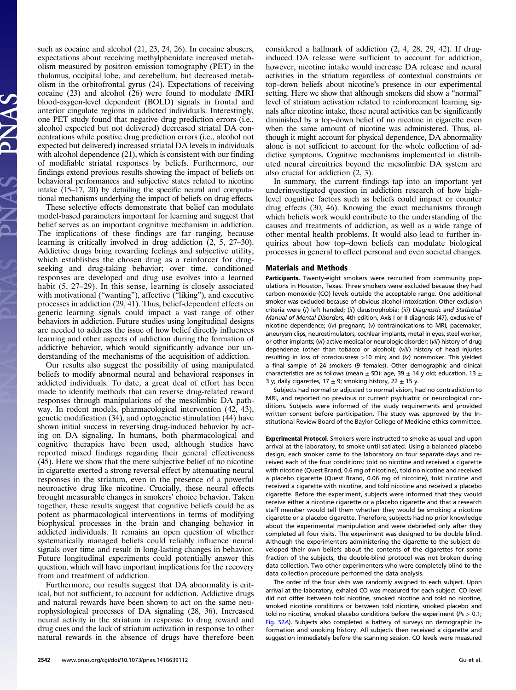such as cocaine and alcohol (21, 23, 24, 26). In cocaine abusers, expectations about receiving methylphenidate increased metabolism measured by positron emission tomography (PET) in the thalamus, occipital lobe, and cerebellum, but decreased metabolism in the orbitofrontal gyrus (24). Expectations of receiving cocaine (23) and alcohol (26) were found to modulate fMRI blood-oxygen-level dependent (BOLD) signals in frontal and anterior cingulate regions in addicted individuals. Interestingly, one PET study found that negative drug prediction errors (i.e., alcohol expected but not delivered) decreased striatal DA concentrations while positive drug prediction errors (i.e., alcohol not expected but delivered) increased striatal DA levels in individuals with alcohol dependence (21), which is consistent with our finding of modifiable striatal responses by beliefs. Furthermore, our findings extend previous results showing the impact of beliefs on behavioral performances and subjective states related to nicotine intake (15–17, 20) by detailing the specific neural and computational mechanisms underlying the impact of beliefs on drug effects.

These selective effects demonstrate that belief can modulate model-based parameters important for learning and suggest that belief serves as an important cognitive mechanism in addiction. The implications of these findings are far ranging, because learning is critically involved in drug addiction (2, 5, 27–30). Addictive drugs bring rewarding feelings and subjective utility, which establishes the chosen drug as a reinforcer for drugseeking and drug-taking behavior; over time, conditioned responses are developed and drug use evolves into a learned habit (5, 27–29). In this sense, learning is closely associated with motivational ("wanting"), affective ("liking"), and executive processes in addiction (29, 41). Thus, belief-dependent effects on generic learning signals could impact a vast range of other behaviors in addiction. Future studies using longitudinal designs are needed to address the issue of how belief directly influences learning and other aspects of addiction during the formation of addictive behavior, which would significantly advance our understanding of the mechanisms of the acquisition of addiction.

Our results also suggest the possibility of using manipulated beliefs to modify abnormal neural and behavioral responses in addicted individuals. To date, a great deal of effort has been made to identify methods that can reverse drug-related reward responses through manipulations of the mesolimbic DA pathway. In rodent models, pharmacological intervention (42, 43), genetic modification (34), and optogenetic stimulation (44) have shown initial success in reversing drug-induced behavior by acting on DA signaling. In humans, both pharmacological and cognitive therapies have been used, although studies have reported mixed findings regarding their general effectiveness (45). Here we show that the mere subjective belief of no nicotine in cigarette exerted a strong reversal effect by attenuating neural responses in the striatum, even in the presence of a powerful neuroactive drug like nicotine. Crucially, these neural effects brought measurable changes in smokers' choice behavior. Taken together, these results suggest that cognitive beliefs could be as potent as pharmacological interventions in terms of modifying biophysical processes in the brain and changing behavior in addicted individuals. It remains an open question of whether systematically managed beliefs could reliably influence neural signals over time and result in long-lasting changes in behavior. Future longitudinal experiments could potentially answer this question, which will have important implications for the recovery from and treatment of addiction.

Furthermore, our results suggest that DA abnormality is critical, but not sufficient, to account for addiction. Addictive drugs and natural rewards have been shown to act on the same neurophysiological processes of DA signaling (28, 36). Increased neural activity in the striatum in response to drug reward and drug cues and the lack of striatum activation in response to other natural rewards in the absence of drugs have therefore been considered a hallmark of addiction (2, 4, 28, 29, 42). If druginduced DA release were sufficient to account for addiction, however, nicotine intake would increase DA release and neural activities in the striatum regardless of contextual constraints or top–down beliefs about nicotine's presence in our experimental setting. Here we show that although smokers did show a "normal" level of striatum activation related to reinforcement learning signals after nicotine intake, these neural activities can be significantly diminished by a top–down belief of no nicotine in cigarette even when the same amount of nicotine was administered. Thus, although it might account for physical dependence, DA abnormality alone is not sufficient to account for the whole collection of addictive symptoms. Cognitive mechanisms implemented in distributed neural circuitries beyond the mesolimbic DA system are also crucial for addiction (2, 3).

In summary, the current findings tap into an important yet underinvestigated question in addiction research of how highlevel cognitive factors such as beliefs could impact or counter drug effects (30, 46). Knowing the exact mechanisms through which beliefs work would contribute to the understanding of the causes and treatments of addiction, as well as a wide range of other mental health problems. It would also lead to further inquiries about how top–down beliefs can modulate biological processes in general to effect personal and even societal changes.

#### Materials and Methods

Participants. Twenty-eight smokers were recruited from community populations in Houston, Texas. Three smokers were excluded because they had carbon monoxide (CO) levels outside the acceptable range. One additional smoker was excluded because of obvious alcohol intoxication. Other exclusion criteria were (i) left handed; (ii) claustrophobia; (iii) Diagnostic and Statistical Manual of Mental Disorders, 4th edition, Axis I or II diagnosis (47), exclusive of nicotine dependence; (iv) pregnant; (v) contraindications to MRI, pacemaker, aneurysm clips, neurostimulators, cochlear implants, metal in eyes, steel worker, or other implants; (vi) active medical or neurologic disorder; (vii) history of drug dependence (other than tobacco or alcohol); (viii) history of head injuries resulting in loss of consciousness  $>10$  min; and  $(ix)$  nonsmoker. This vielded a final sample of 24 smokers (9 females). Other demographic and clinical characteristics are as follows (mean  $\pm$  SD): age, 39  $\pm$  14 y old; education, 13  $\pm$ 3 y; daily cigarettes, 17  $\pm$  9; smoking history, 22  $\pm$  15 y.

Subjects had normal or adjusted to normal vision, had no contradiction to MRI, and reported no previous or current psychiatric or neurological conditions. Subjects were informed of the study requirements and provided written consent before participation. The study was approved by the Institutional Review Board of the Baylor College of Medicine ethics committee.

Experimental Protocol. Smokers were instructed to smoke as usual and upon arrival at the laboratory, to smoke until satiated. Using a balanced placebo design, each smoker came to the laboratory on four separate days and received each of the four conditions: told no nicotine and received a cigarette with nicotine (Quest Brand, 0.6 mg of nicotine), told no nicotine and received a placebo cigarette (Quest Brand, 0.06 mg of nicotine), told nicotine and received a cigarette with nicotine, and told nicotine and received a placebo cigarette. Before the experiment, subjects were informed that they would receive either a nicotine cigarette or a placebo cigarette and that a research staff member would tell them whether they would be smoking a nicotine cigarette or a placebo cigarette. Therefore, subjects had no prior knowledge about the experimental manipulation and were debriefed only after they completed all four visits. The experiment was designed to be double blind. Although the experimenters administering the cigarette to the subject developed their own beliefs about the contents of the cigarettes for some fraction of the subjects, the double-blind protocol was not broken during data collection. Two other experimenters who were completely blind to the data collection procedure performed the data analysis.

The order of the four visits was randomly assigned to each subject. Upon arrival at the laboratory, exhaled CO was measured for each subject. CO level did not differ between told nicotine, smoked nicotine and told no nicotine, smoked nicotine conditions or between told nicotine, smoked placebo and told no nicotine, smoked placebo conditions before the experiment ( $Ps > 0.1$ ; [Fig. S2](http://www.pnas.org/lookup/suppl/doi:10.1073/pnas.1416639112/-/DCSupplemental/pnas.201416639SI.pdf?targetid=nameddest=SF2)A). Subjects also completed a battery of surveys on demographic information and smoking history. All subjects then received a cigarette and suggestion immediately before the scanning session. CO levels were measured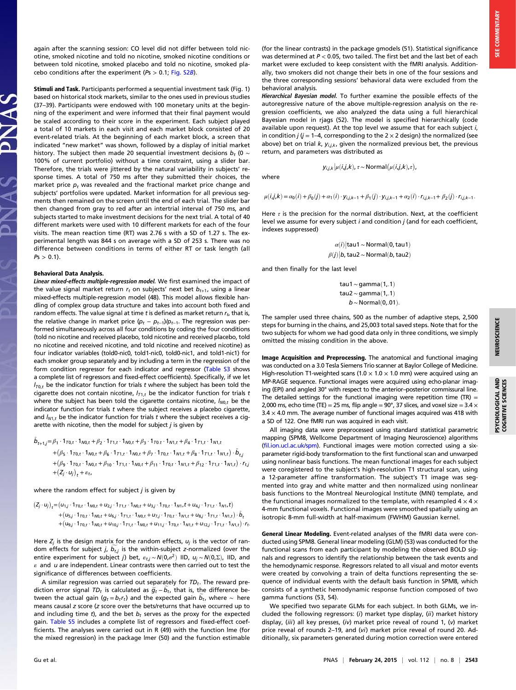Stimuli and Task. Participants performed a sequential investment task (Fig. 1) based on historical stock markets, similar to the ones used in previous studies (37–39). Participants were endowed with 100 monetary units at the beginning of the experiment and were informed that their final payment would be scaled according to their score in the experiment. Each subject played a total of 10 markets in each visit and each market block consisted of 20 event-related trials. At the beginning of each market block, a screen that indicated "new market" was shown, followed by a display of initial market history. The subject then made 20 sequential investment decisions  $b_t$  (0  $\sim$ 100% of current portfolio) without a time constraint, using a slider bar. Therefore, the trials were jittered by the natural variability in subjects' response times. A total of 750 ms after they submitted their choices, the market price  $p_t$  was revealed and the fractional market price change and subjects' portfolios were updated. Market information for all previous segments then remained on the screen until the end of each trial. The slider bar then changed from gray to red after an intertrial interval of 750 ms, and subjects started to make investment decisions for the next trial. A total of 40 different markets were used with 10 different markets for each of the four visits. The mean reaction time (RT) was 2.76 s with a SD of 1.27 s. The experimental length was 844 s on average with a SD of 253 s. There was no difference between conditions in terms of either RT or task length (all  $Ps > 0.1$ ).

#### Behavioral Data Analysis.

Linear mixed-effects multiple-regression model. We first examined the impact of the value signal market return  $r_t$  on subjects' next bet  $b_{t+1}$ , using a linear mixed-effects multiple-regression model (48). This model allows flexible handling of complex group data structure and takes into account both fixed and random effects. The value signal at time t is defined as market return  $r_t$ , that is, the relative change in market price  $(p_t - p_{t-1})/p_{t-1}$ . The regression was performed simultaneously across all four conditions by coding the four conditions (told no nicotine and received placebo, told nicotine and received placebo, told no nicotine and received nicotine, and told nicotine and received nicotine) as four indicator variables (told0-nic0, told1-nic0, told0-nic1, and told1-nic1) for each smoker group separately and by including a term in the regression of the form condition regressor for each indicator and regressor [\(Table S3](http://www.pnas.org/lookup/suppl/doi:10.1073/pnas.1416639112/-/DCSupplemental/pnas.201416639SI.pdf?targetid=nameddest=ST3) shows a complete list of regressors and fixed-effect coefficients). Specifically, if we let  $I_{\text{TO},t}$  be the indicator function for trials t where the subject has been told the cigarette does not contain nicotine,  $I_{T1,t}$  be the indicator function for trials t where the subject has been told the cigarette contains nicotine,  $I_{N0,t}$  be the indicator function for trials  $t$  where the subject receives a placebo cigarette, and  $I_{N1,t}$  be the indicator function for trials t where the subject receives a cigarette with nicotine, then the model for subject  $j$  is given by

$$
\tilde{b}_{t+1,j} = \beta_1 \cdot 1_{T0,t} \cdot 1_{N0,t} + \beta_2 \cdot 1_{T1,t} \cdot 1_{N0,t} + \beta_3 \cdot 1_{T0,t} \cdot 1_{N1,t} + \beta_4 \cdot 1_{T1,t} \cdot 1_{N1,t}
$$

$$
+ (\beta_5 \cdot 1_{T0,t} \cdot 1_{N0,t} + \beta_6 \cdot 1_{T1,t} \cdot 1_{N0,t} + \beta_7 \cdot 1_{T0,t} \cdot 1_{N1,t} + \beta_8 \cdot 1_{T1,t} \cdot 1_{N1,t}) \cdot \tilde{b}_{t,j}
$$

+  $(\beta_9 \cdot 1_{\tau0,t} \cdot 1_{N0,t} + \beta_{10} \cdot 1_{\tau1,t} \cdot 1_{N0,t} + \beta_{11} \cdot 1_{\tau0,t} \cdot 1_{N1,t} + \beta_{12} \cdot 1_{\tau1,t} \cdot 1_{N1,t}) \cdot r_{t,j}$  $+(Z_j \cdot u_j)_t + \varepsilon_t,$ 

#### where the random effect for subject  $j$  is given by

 $(Z_j \cdot u_j)_t = (u_{1,j} \cdot 1_{T0,t} \cdot 1_{N0,t} + u_{2,j} \cdot 1_{T1,t} \cdot 1_{N0,t} + u_{3,j} \cdot 1_{T0,t} \cdot 1_{N1,t} + u_{4,j} \cdot 1_{T1,t} \cdot 1_{N1,t})$ 

 $+\left(u_{5,j}\cdot{\bf 1}_{T0,t}\cdot{\bf 1}_{N0,t}+u_{6,j}\cdot{\bf 1}_{T1,t}\cdot{\bf 1}_{N0,t}+u_{7,j}\cdot{\bf 1}_{T0,t}\cdot{\bf 1}_{N1,t}+u_{8,j}\cdot{\bf 1}_{T1,t}\cdot{\bf 1}_{N1,t}\right)\cdot\tilde{b}_t$  $+(u_{9,j}\cdot1_{T0,t}\cdot1_{N0,t}+u_{10,j}\cdot1_{T1,t}\cdot1_{N0,t}+u_{11,j}\cdot1_{T0,t}\cdot1_{N1,t}+u_{12,j}\cdot1_{T1,t}\cdot1_{N1,t})\cdot r_{t}$ 

Here  $Z_i$  is the design matrix for the random effects,  $u_j$  is the vector of random effects for subject *j, b<sub>t.j</sub>* is the within-subject *z*-normalized (over the entire experiment for subject j) bet,  $\varepsilon_{t,j} \sim N(0,\sigma^2)$  IID,  $u_j \sim N(0,\Sigma)$ , IID, and  $\varepsilon$  and u are independent. Linear contrasts were then carried out to test the significance of differences between coefficients.

A similar regression was carried out separately for  $TD_t$ . The reward prediction error signal  $\tau D_t$  is calculated as  $\widetilde{g_t}-b_t$ , that is, the difference between the actual gain ( $g_t \!=\! b_t r_t$ ) and the expected gain  $b_t$ , where  $\sim$  here means causal z score (z score over the bets/returns that have occurred up to and including time t), and the bet  $b_t$  serves as the proxy for the expected gain. [Table S5](http://www.pnas.org/lookup/suppl/doi:10.1073/pnas.1416639112/-/DCSupplemental/pnas.201416639SI.pdf?targetid=nameddest=ST5) includes a complete list of regressors and fixed-effect coefficients. The analyses were carried out in R (49) with the function lme (for the mixed regression) in the package lmer (50) and the function estimable

(for the linear contrasts) in the package gmodels (51). Statistical significance was determined at  $P < 0.05$ , two tailed. The first bet and the last bet of each market were excluded to keep consistent with the fMRI analysis. Additionally, two smokers did not change their bets in one of the four sessions and the three corresponding sessions' behavioral data were excluded from the behavioral analysis.

Hierarchical Bayesian model. To further examine the possible effects of the autoregressive nature of the above multiple-regression analysis on the regression coefficients, we also analyzed the data using a full hierarchical Bayesian model in rjags (52). The model is specified hierarchically (code available upon request). At the top level we assume that for each subject i, in condition  $j$  ( $j = 1-4$ , corresponding to the 2  $\times$  2 design) the normalized (see above) bet on trial  $k$ ,  $y_{i,j,k}$ , given the normalized previous bet, the previous return, and parameters was distributed as

$$
y_{i,j,k}|\mu(i,j,k),\tau\sim \text{Normal}\big(\mu(i,j,k),\tau\big),
$$

$$
\mu(i,j,k) = \alpha_0(i) + \beta_0(j) + \alpha_1(i) \cdot y_{i,j,k-1} + \beta_1(j) \cdot y_{i,j,k-1} + \alpha_2(i) \cdot r_{i,j,k-1} + \beta_2(j) \cdot r_{i,j,k-1}.
$$

Here  $\tau$  is the precision for the normal distribution. Next, at the coefficient level we assume for every subject  $i$  and condition  $j$  (and for each coefficient, indexes suppressed)

$$
\alpha(i) | \text{tau1} \sim \text{Normal}(0, \text{tau1})
$$

$$
\beta(j) | b, \text{tau2} \sim \text{Normal}(b, \text{tau2})
$$

and then finally for the last level

where

$$
\tan 1 \sim \text{gamma}(1, 1)
$$
  
\n
$$
\tan 2 \sim \text{gamma}(1, 1)
$$
  
\n
$$
b \sim \text{Normal}(0, 01)
$$

The sampler used three chains, 500 as the number of adaptive steps, 2,500 steps for burning in the chains, and 25,003 total saved steps. Note that for the two subjects for whom we had good data only in three conditions, we simply omitted the missing condition in the above.

Image Acquisition and Preprocessing. The anatomical and functional imaging was conducted on a 3.0 Tesla Siemens Trio scanner at Baylor College of Medicine. High-resolution T1-weighted scans (1.0  $\times$  1.0  $\times$  1.0 mm) were acquired using an MP-RAGE sequence. Functional images were acquired using echo-planar imaging (EPI) and angled 30° with respect to the anterior–posterior commissural line. The detailed settings for the functional imaging were repetition time (TR)  $=$ 2,000 ms, echo time (TE) = 25 ms, flip angle =  $90^{\circ}$ , 37 slices, and voxel size =  $3.4 \times$  $3.4 \times 4.0$  mm. The average number of functional images acquired was 418 with a SD of 122. One fMRI run was acquired in each visit.

All imaging data were preprocessed using standard statistical parametric mapping (SPM8, Wellcome Department of Imaging Neuroscience) algorithms [\(fil.ion.ucl.ac.uk/spm](www.fil.ion.ucl.ac.uk/spm)). Functional images were motion corrected using a sixparameter rigid-body transformation to the first functional scan and unwarped using nonlinear basis functions. The mean functional images for each subject were coregistered to the subject's high-resolution T1 structural scan, using a 12-parameter affine transformation. The subject's T1 image was segmented into gray and white matter and then normalized using nonlinear basis functions to the Montreal Neurological Institute (MNI) template, and the functional images normalized to the template, with resampled  $4 \times 4 \times$ 4-mm functional voxels. Functional images were smoothed spatially using an isotropic 8-mm full-width at half-maximum (FWHM) Gaussian kernel.

General Linear Modeling. Event-related analyses of the fMRI data were conducted using SPM8. General linear modeling (GLM) (53) was conducted for the functional scans from each participant by modeling the observed BOLD signals and regressors to identify the relationship between the task events and the hemodynamic response. Regressors related to all visual and motor events were created by convolving a train of delta functions representing the sequence of individual events with the default basis function in SPM8, which consists of a synthetic hemodynamic response function composed of two gamma functions (53, 54).

We specified two separate GLMs for each subject. In both GLMs, we included the following regressors: (i) market type display, (ii) market history display, (iii) all key presses, (iv) market price reveal of round 1, (v) market price reveal of rounds 2-19, and (vi) market price reveal of round 20. Additionally, six parameters generated during motion correction were entered